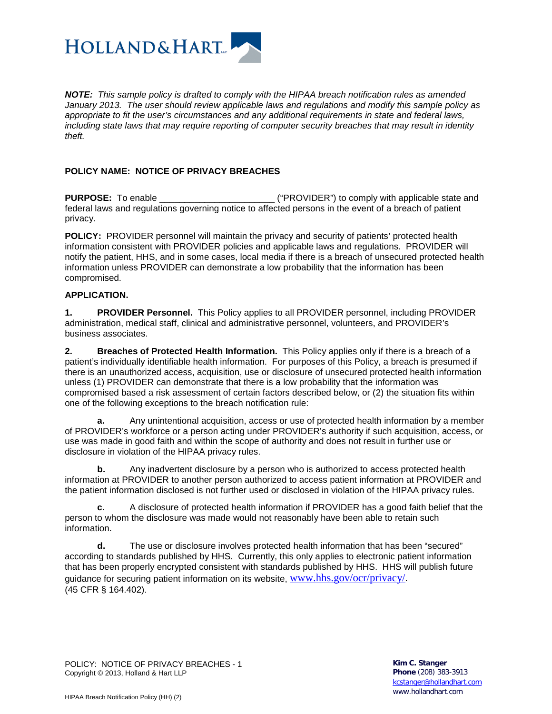

*NOTE: This sample policy is drafted to comply with the HIPAA breach notification rules as amended January 2013. The user should review applicable laws and regulations and modify this sample policy as appropriate to fit the user's circumstances and any additional requirements in state and federal laws, including state laws that may require reporting of computer security breaches that may result in identity theft.*

# **POLICY NAME: NOTICE OF PRIVACY BREACHES**

**PURPOSE:** To enable \_\_\_\_\_\_\_\_\_\_\_\_\_\_\_\_\_\_\_\_\_\_\_ ("PROVIDER") to comply with applicable state and federal laws and regulations governing notice to affected persons in the event of a breach of patient privacy.

**POLICY:** PROVIDER personnel will maintain the privacy and security of patients' protected health information consistent with PROVIDER policies and applicable laws and regulations. PROVIDER will notify the patient, HHS, and in some cases, local media if there is a breach of unsecured protected health information unless PROVIDER can demonstrate a low probability that the information has been compromised.

#### **APPLICATION.**

**1. PROVIDER Personnel.** This Policy applies to all PROVIDER personnel, including PROVIDER administration, medical staff, clinical and administrative personnel, volunteers, and PROVIDER's business associates.

**2. Breaches of Protected Health Information.** This Policy applies only if there is a breach of a patient's individually identifiable health information. For purposes of this Policy, a breach is presumed if there is an unauthorized access, acquisition, use or disclosure of unsecured protected health information unless (1) PROVIDER can demonstrate that there is a low probability that the information was compromised based a risk assessment of certain factors described below, or (2) the situation fits within one of the following exceptions to the breach notification rule:

**a.** Any unintentional acquisition, access or use of protected health information by a member of PROVIDER's workforce or a person acting under PROVIDER's authority if such acquisition, access, or use was made in good faith and within the scope of authority and does not result in further use or disclosure in violation of the HIPAA privacy rules.

**b.** Any inadvertent disclosure by a person who is authorized to access protected health information at PROVIDER to another person authorized to access patient information at PROVIDER and the patient information disclosed is not further used or disclosed in violation of the HIPAA privacy rules.

**c.** A disclosure of protected health information if PROVIDER has a good faith belief that the person to whom the disclosure was made would not reasonably have been able to retain such information.

**d.** The use or disclosure involves protected health information that has been "secured" according to standards published by HHS. Currently, this only applies to electronic patient information that has been properly encrypted consistent with standards published by HHS. HHS will publish future guidance for securing patient information on its website, [www.hhs.gov/ocr/privacy/](http://www.hhs.gov/ocr/privacy/). (45 CFR § 164.402).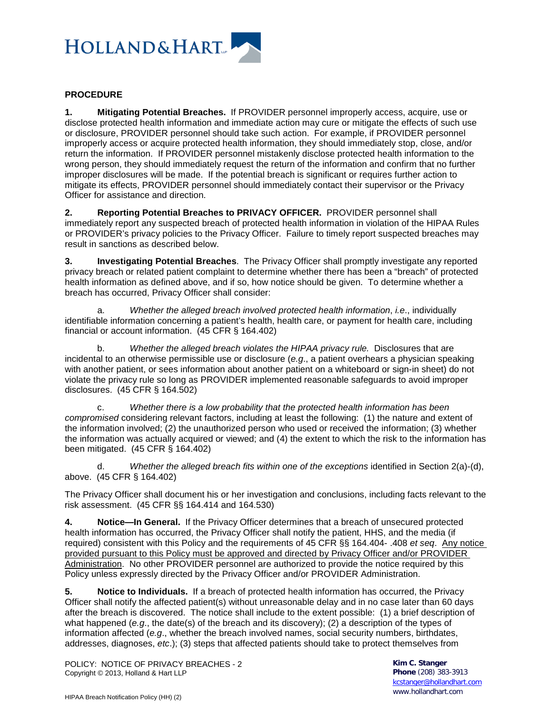

## **PROCEDURE**

**1. Mitigating Potential Breaches.** If PROVIDER personnel improperly access, acquire, use or disclose protected health information and immediate action may cure or mitigate the effects of such use or disclosure, PROVIDER personnel should take such action. For example, if PROVIDER personnel improperly access or acquire protected health information, they should immediately stop, close, and/or return the information. If PROVIDER personnel mistakenly disclose protected health information to the wrong person, they should immediately request the return of the information and confirm that no further improper disclosures will be made. If the potential breach is significant or requires further action to mitigate its effects, PROVIDER personnel should immediately contact their supervisor or the Privacy Officer for assistance and direction.

**2. Reporting Potential Breaches to PRIVACY OFFICER.** PROVIDER personnel shall immediately report any suspected breach of protected health information in violation of the HIPAA Rules or PROVIDER's privacy policies to the Privacy Officer. Failure to timely report suspected breaches may result in sanctions as described below.

**3. Investigating Potential Breaches**. The Privacy Officer shall promptly investigate any reported privacy breach or related patient complaint to determine whether there has been a "breach" of protected health information as defined above, and if so, how notice should be given. To determine whether a breach has occurred, Privacy Officer shall consider:

a. *Whether the alleged breach involved protected health information*, *i.e*., individually identifiable information concerning a patient's health, health care, or payment for health care, including financial or account information. (45 CFR § 164.402)

b. *Whether the alleged breach violates the HIPAA privacy rule.* Disclosures that are incidental to an otherwise permissible use or disclosure (*e.g*., a patient overhears a physician speaking with another patient, or sees information about another patient on a whiteboard or sign-in sheet) do not violate the privacy rule so long as PROVIDER implemented reasonable safeguards to avoid improper disclosures. (45 CFR § 164.502)

c. *Whether there is a low probability that the protected health information has been compromised* considering relevant factors, including at least the following: (1) the nature and extent of the information involved; (2) the unauthorized person who used or received the information; (3) whether the information was actually acquired or viewed; and (4) the extent to which the risk to the information has been mitigated. (45 CFR § 164.402)

d. *Whether the alleged breach fits within one of the exceptions* identified in Section 2(a)-(d), above. (45 CFR § 164.402)

The Privacy Officer shall document his or her investigation and conclusions, including facts relevant to the risk assessment. (45 CFR §§ 164.414 and 164.530)

**4. Notice—In General.** If the Privacy Officer determines that a breach of unsecured protected health information has occurred, the Privacy Officer shall notify the patient, HHS, and the media (if required) consistent with this Policy and the requirements of 45 CFR §§ 164.404- .408 *et seq*. Any notice provided pursuant to this Policy must be approved and directed by Privacy Officer and/or PROVIDER Administration. No other PROVIDER personnel are authorized to provide the notice required by this Policy unless expressly directed by the Privacy Officer and/or PROVIDER Administration.

**5. Notice to Individuals.** If a breach of protected health information has occurred, the Privacy Officer shall notify the affected patient(s) without unreasonable delay and in no case later than 60 days after the breach is discovered. The notice shall include to the extent possible: (1) a brief description of what happened (*e.g*., the date(s) of the breach and its discovery); (2) a description of the types of information affected (*e.g*., whether the breach involved names, social security numbers, birthdates, addresses, diagnoses, *etc*.); (3) steps that affected patients should take to protect themselves from

POLICY: NOTICE OF PRIVACY BREACHES - 2 Copyright © 2013, Holland & Hart LLP

**Kim C. Stanger Phone** (208) 383-3913 [kcstanger@hollandhart.com](mailto:kcstanger@hollandhart.com) www.hollandhart.com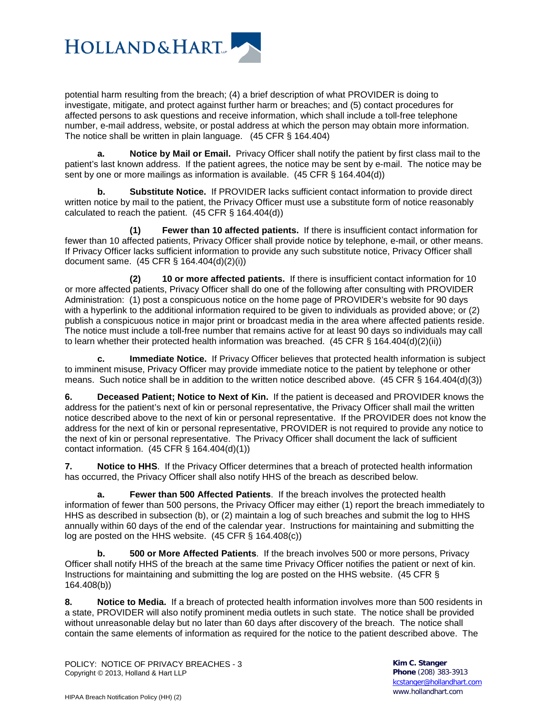

potential harm resulting from the breach; (4) a brief description of what PROVIDER is doing to investigate, mitigate, and protect against further harm or breaches; and (5) contact procedures for affected persons to ask questions and receive information, which shall include a toll-free telephone number, e-mail address, website, or postal address at which the person may obtain more information. The notice shall be written in plain language. (45 CFR § 164.404)

**a. Notice by Mail or Email.** Privacy Officer shall notify the patient by first class mail to the patient's last known address. If the patient agrees, the notice may be sent by e-mail. The notice may be sent by one or more mailings as information is available. (45 CFR § 164.404(d))

**b. Substitute Notice.** If PROVIDER lacks sufficient contact information to provide direct written notice by mail to the patient, the Privacy Officer must use a substitute form of notice reasonably calculated to reach the patient. (45 CFR § 164.404(d))

**(1) Fewer than 10 affected patients.** If there is insufficient contact information for fewer than 10 affected patients, Privacy Officer shall provide notice by telephone, e-mail, or other means. If Privacy Officer lacks sufficient information to provide any such substitute notice, Privacy Officer shall document same. (45 CFR § 164.404(d)(2)(i))

**(2) 10 or more affected patients.** If there is insufficient contact information for 10 or more affected patients, Privacy Officer shall do one of the following after consulting with PROVIDER Administration: (1) post a conspicuous notice on the home page of PROVIDER's website for 90 days with a hyperlink to the additional information required to be given to individuals as provided above; or (2) publish a conspicuous notice in major print or broadcast media in the area where affected patients reside. The notice must include a toll-free number that remains active for at least 90 days so individuals may call to learn whether their protected health information was breached. (45 CFR § 164.404(d)(2)(ii))

**c. Immediate Notice.** If Privacy Officer believes that protected health information is subject to imminent misuse, Privacy Officer may provide immediate notice to the patient by telephone or other means. Such notice shall be in addition to the written notice described above. (45 CFR § 164.404(d)(3))

**6. Deceased Patient; Notice to Next of Kin.** If the patient is deceased and PROVIDER knows the address for the patient's next of kin or personal representative, the Privacy Officer shall mail the written notice described above to the next of kin or personal representative. If the PROVIDER does not know the address for the next of kin or personal representative, PROVIDER is not required to provide any notice to the next of kin or personal representative. The Privacy Officer shall document the lack of sufficient contact information. (45 CFR § 164.404(d)(1))

**7. Notice to HHS**. If the Privacy Officer determines that a breach of protected health information has occurred, the Privacy Officer shall also notify HHS of the breach as described below.

**a. Fewer than 500 Affected Patients**. If the breach involves the protected health information of fewer than 500 persons, the Privacy Officer may either (1) report the breach immediately to HHS as described in subsection (b), or (2) maintain a log of such breaches and submit the log to HHS annually within 60 days of the end of the calendar year. Instructions for maintaining and submitting the log are posted on the HHS website. (45 CFR § 164.408(c))

**b. 500 or More Affected Patients**. If the breach involves 500 or more persons, Privacy Officer shall notify HHS of the breach at the same time Privacy Officer notifies the patient or next of kin. Instructions for maintaining and submitting the log are posted on the HHS website. (45 CFR § 164.408(b))

**8. Notice to Media.** If a breach of protected health information involves more than 500 residents in a state, PROVIDER will also notify prominent media outlets in such state. The notice shall be provided without unreasonable delay but no later than 60 days after discovery of the breach. The notice shall contain the same elements of information as required for the notice to the patient described above. The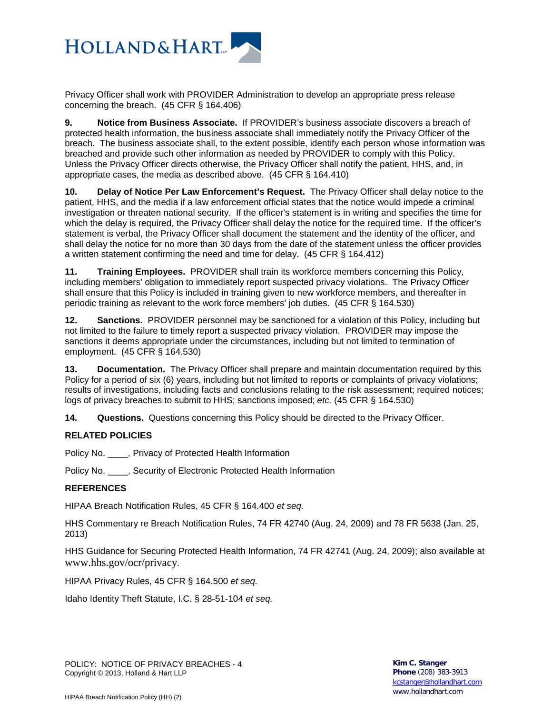

Privacy Officer shall work with PROVIDER Administration to develop an appropriate press release concerning the breach. (45 CFR § 164.406)

**9. Notice from Business Associate.** If PROVIDER's business associate discovers a breach of protected health information, the business associate shall immediately notify the Privacy Officer of the breach. The business associate shall, to the extent possible, identify each person whose information was breached and provide such other information as needed by PROVIDER to comply with this Policy. Unless the Privacy Officer directs otherwise, the Privacy Officer shall notify the patient, HHS, and, in appropriate cases, the media as described above. (45 CFR § 164.410)

**10. Delay of Notice Per Law Enforcement's Request.** The Privacy Officer shall delay notice to the patient, HHS, and the media if a law enforcement official states that the notice would impede a criminal investigation or threaten national security. If the officer's statement is in writing and specifies the time for which the delay is required, the Privacy Officer shall delay the notice for the required time. If the officer's statement is verbal, the Privacy Officer shall document the statement and the identity of the officer, and shall delay the notice for no more than 30 days from the date of the statement unless the officer provides a written statement confirming the need and time for delay. (45 CFR § 164.412)

**11. Training Employees.** PROVIDER shall train its workforce members concerning this Policy, including members' obligation to immediately report suspected privacy violations. The Privacy Officer shall ensure that this Policy is included in training given to new workforce members, and thereafter in periodic training as relevant to the work force members' job duties. (45 CFR § 164.530)

**12. Sanctions.** PROVIDER personnel may be sanctioned for a violation of this Policy, including but not limited to the failure to timely report a suspected privacy violation. PROVIDER may impose the sanctions it deems appropriate under the circumstances, including but not limited to termination of employment. (45 CFR § 164.530)

**13. Documentation.** The Privacy Officer shall prepare and maintain documentation required by this Policy for a period of six (6) years, including but not limited to reports or complaints of privacy violations; results of investigations, including facts and conclusions relating to the risk assessment; required notices; logs of privacy breaches to submit to HHS; sanctions imposed; *etc.* (45 CFR § 164.530)

**14. Questions.** Questions concerning this Policy should be directed to the Privacy Officer.

## **RELATED POLICIES**

Policy No. **.** . Privacy of Protected Health Information

Policy No. \_\_\_\_, Security of Electronic Protected Health Information

#### **REFERENCES**

HIPAA Breach Notification Rules, 45 CFR § 164.400 *et seq.*

HHS Commentary re Breach Notification Rules, 74 FR 42740 (Aug. 24, 2009) and 78 FR 5638 (Jan. 25, 2013)

HHS Guidance for Securing Protected Health Information, 74 FR 42741 (Aug. 24, 2009); also available at www.hhs.gov/ocr/privacy.

HIPAA Privacy Rules, 45 CFR § 164.500 *et seq.*

Idaho Identity Theft Statute, I.C. § 28-51-104 *et seq.*